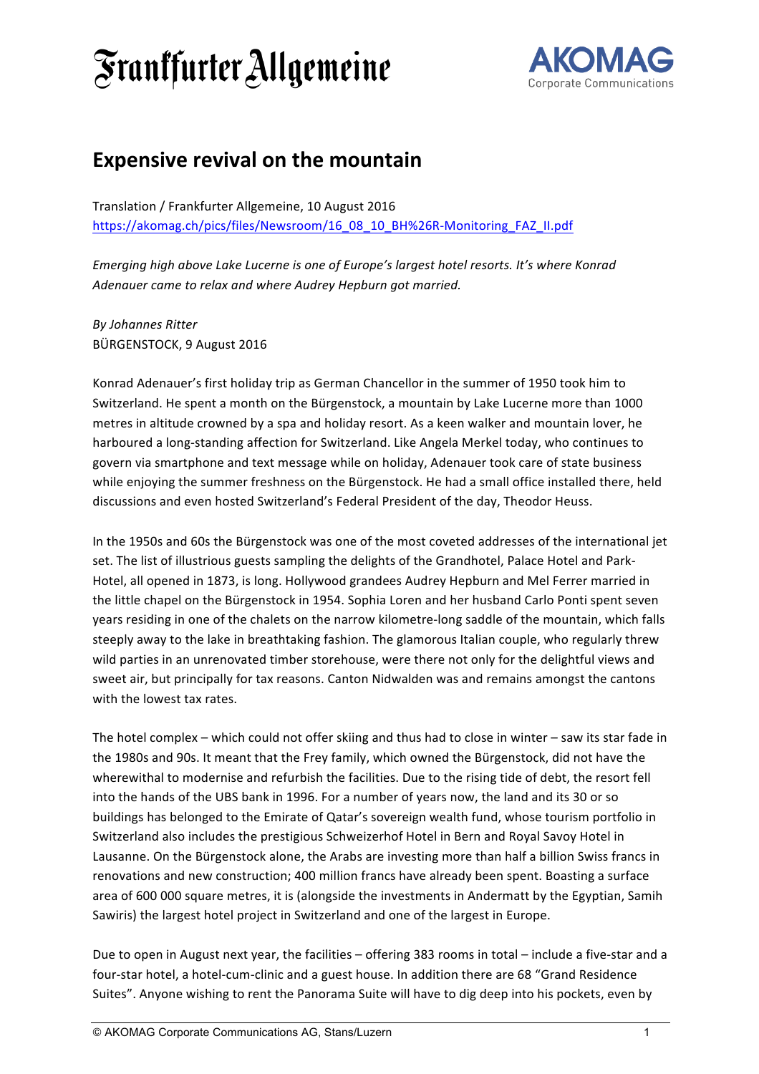## *Sranffurter Allgemeine*



## **Expensive revival on the mountain**

Translation / Frankfurter Allgemeine, 10 August 2016 https://akomag.ch/pics/files/Newsroom/16\_08\_10\_BH%26R-Monitoring\_FAZ\_II.pdf

*Emerging high above Lake Lucerne is one of Europe's largest hotel resorts. It's where Konrad* Adenauer came to relax and where Audrey Hepburn got married.

*By Johannes Ritter*  BÜRGENSTOCK, 9 August 2016

Konrad Adenauer's first holiday trip as German Chancellor in the summer of 1950 took him to Switzerland. He spent a month on the Bürgenstock, a mountain by Lake Lucerne more than 1000 metres in altitude crowned by a spa and holiday resort. As a keen walker and mountain lover, he harboured a long-standing affection for Switzerland. Like Angela Merkel today, who continues to govern via smartphone and text message while on holiday, Adenauer took care of state business while enjoying the summer freshness on the Bürgenstock. He had a small office installed there, held discussions and even hosted Switzerland's Federal President of the day, Theodor Heuss.

In the 1950s and 60s the Bürgenstock was one of the most coveted addresses of the international jet set. The list of illustrious guests sampling the delights of the Grandhotel, Palace Hotel and Park-Hotel, all opened in 1873, is long. Hollywood grandees Audrey Hepburn and Mel Ferrer married in the little chapel on the Bürgenstock in 1954. Sophia Loren and her husband Carlo Ponti spent seven years residing in one of the chalets on the narrow kilometre-long saddle of the mountain, which falls steeply away to the lake in breathtaking fashion. The glamorous Italian couple, who regularly threw wild parties in an unrenovated timber storehouse, were there not only for the delightful views and sweet air, but principally for tax reasons. Canton Nidwalden was and remains amongst the cantons with the lowest tax rates.

The hotel complex – which could not offer skiing and thus had to close in winter – saw its star fade in the 1980s and 90s. It meant that the Frey family, which owned the Bürgenstock, did not have the wherewithal to modernise and refurbish the facilities. Due to the rising tide of debt, the resort fell into the hands of the UBS bank in 1996. For a number of years now, the land and its 30 or so buildings has belonged to the Emirate of Qatar's sovereign wealth fund, whose tourism portfolio in Switzerland also includes the prestigious Schweizerhof Hotel in Bern and Royal Savoy Hotel in Lausanne. On the Bürgenstock alone, the Arabs are investing more than half a billion Swiss francs in renovations and new construction; 400 million francs have already been spent. Boasting a surface area of 600 000 square metres, it is (alongside the investments in Andermatt by the Egyptian, Samih Sawiris) the largest hotel project in Switzerland and one of the largest in Europe.

Due to open in August next year, the facilities – offering 383 rooms in total – include a five-star and a four-star hotel, a hotel-cum-clinic and a guest house. In addition there are 68 "Grand Residence Suites". Anyone wishing to rent the Panorama Suite will have to dig deep into his pockets, even by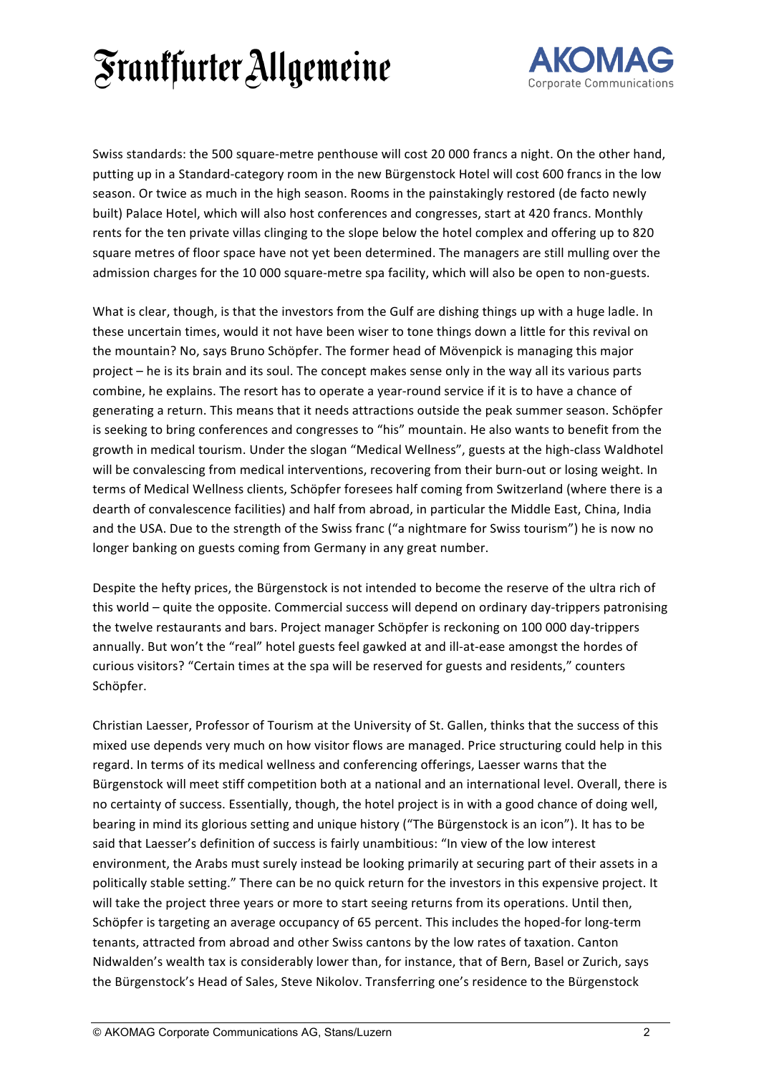## *Sranffurter Allgemeine*



Swiss standards: the 500 square-metre penthouse will cost 20 000 francs a night. On the other hand, putting up in a Standard-category room in the new Bürgenstock Hotel will cost 600 francs in the low season. Or twice as much in the high season. Rooms in the painstakingly restored (de facto newly built) Palace Hotel, which will also host conferences and congresses, start at 420 francs. Monthly rents for the ten private villas clinging to the slope below the hotel complex and offering up to 820 square metres of floor space have not yet been determined. The managers are still mulling over the admission charges for the 10 000 square-metre spa facility, which will also be open to non-guests.

What is clear, though, is that the investors from the Gulf are dishing things up with a huge ladle. In these uncertain times, would it not have been wiser to tone things down a little for this revival on the mountain? No, says Bruno Schöpfer. The former head of Mövenpick is managing this major project – he is its brain and its soul. The concept makes sense only in the way all its various parts combine, he explains. The resort has to operate a year-round service if it is to have a chance of generating a return. This means that it needs attractions outside the peak summer season. Schöpfer is seeking to bring conferences and congresses to "his" mountain. He also wants to benefit from the growth in medical tourism. Under the slogan "Medical Wellness", guests at the high-class Waldhotel will be convalescing from medical interventions, recovering from their burn-out or losing weight. In terms of Medical Wellness clients, Schöpfer foresees half coming from Switzerland (where there is a dearth of convalescence facilities) and half from abroad, in particular the Middle East, China, India and the USA. Due to the strength of the Swiss franc ("a nightmare for Swiss tourism") he is now no longer banking on guests coming from Germany in any great number.

Despite the hefty prices, the Bürgenstock is not intended to become the reserve of the ultra rich of this world – quite the opposite. Commercial success will depend on ordinary day-trippers patronising the twelve restaurants and bars. Project manager Schöpfer is reckoning on 100 000 day-trippers annually. But won't the "real" hotel guests feel gawked at and ill-at-ease amongst the hordes of curious visitors? "Certain times at the spa will be reserved for guests and residents," counters Schöpfer. 

Christian Laesser, Professor of Tourism at the University of St. Gallen, thinks that the success of this mixed use depends very much on how visitor flows are managed. Price structuring could help in this regard. In terms of its medical wellness and conferencing offerings, Laesser warns that the Bürgenstock will meet stiff competition both at a national and an international level. Overall, there is no certainty of success. Essentially, though, the hotel project is in with a good chance of doing well, bearing in mind its glorious setting and unique history ("The Bürgenstock is an icon"). It has to be said that Laesser's definition of success is fairly unambitious: "In view of the low interest environment, the Arabs must surely instead be looking primarily at securing part of their assets in a politically stable setting." There can be no quick return for the investors in this expensive project. It will take the project three years or more to start seeing returns from its operations. Until then, Schöpfer is targeting an average occupancy of 65 percent. This includes the hoped-for long-term tenants, attracted from abroad and other Swiss cantons by the low rates of taxation. Canton Nidwalden's wealth tax is considerably lower than, for instance, that of Bern, Basel or Zurich, says the Bürgenstock's Head of Sales, Steve Nikolov. Transferring one's residence to the Bürgenstock